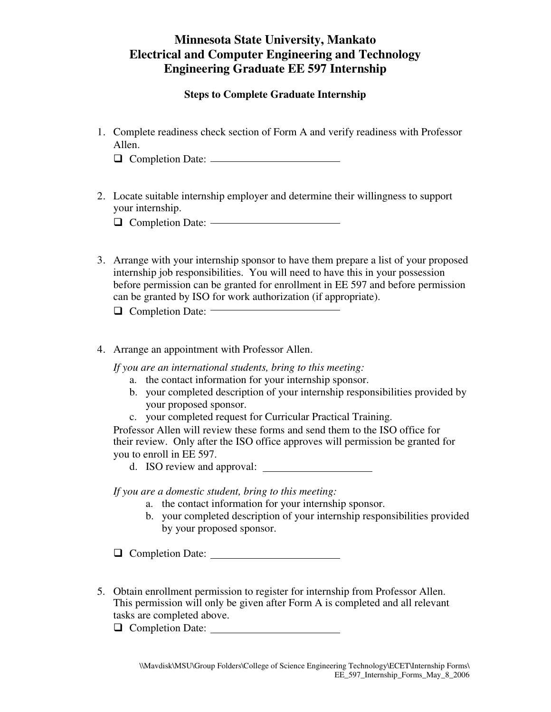**Steps to Complete Graduate Internship** 

1. Complete readiness check section of Form A and verify readiness with Professor Allen.

Completion Date:

2. Locate suitable internship employer and determine their willingness to support your internship.

O Completion Date: ————————————————————

3. Arrange with your internship sponsor to have them prepare a list of your proposed internship job responsibilities. You will need to have this in your possession before permission can be granted for enrollment in EE 597 and before permission can be granted by ISO for work authorization (if appropriate).

 $\Box$  Completion Date:  $\Box$ 

4. Arrange an appointment with Professor Allen.

*If you are an international students, bring to this meeting:*

- a. the contact information for your internship sponsor.
- b. your completed description of your internship responsibilities provided by your proposed sponsor.
- c. your completed request for Curricular Practical Training.

Professor Allen will review these forms and send them to the ISO office for their review. Only after the ISO office approves will permission be granted for you to enroll in EE 597.

d. ISO review and approval:

*If you are a domestic student, bring to this meeting:* 

- a. the contact information for your internship sponsor.
- b. your completed description of your internship responsibilities provided by your proposed sponsor.

Completion Date:

5. Obtain enrollment permission to register for internship from Professor Allen. This permission will only be given after Form A is completed and all relevant tasks are completed above.

O Completion Date: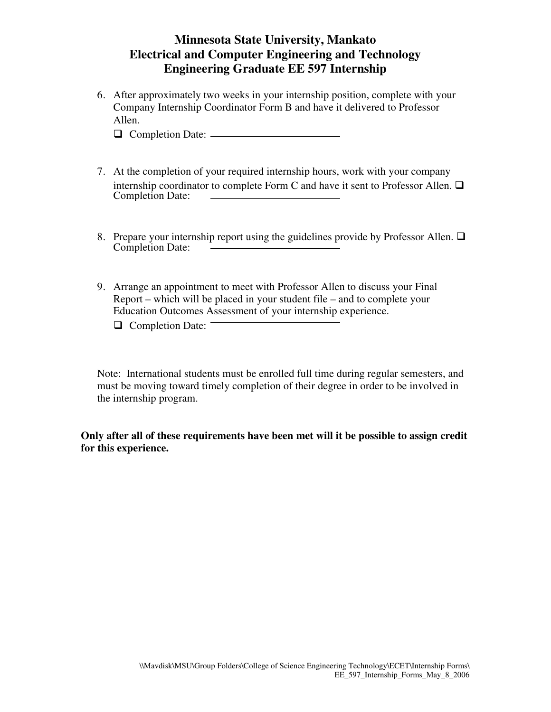6. After approximately two weeks in your internship position, complete with your Company Internship Coordinator Form B and have it delivered to Professor Allen.

Completion Date:

- 7. At the completion of your required internship hours, work with your company internship coordinator to complete Form C and have it sent to Professor Allen.  $\Box$ Completion Date:
- 8. Prepare your internship report using the guidelines provide by Professor Allen.  $\Box$ Completion Date:
- 9. Arrange an appointment to meet with Professor Allen to discuss your Final Report – which will be placed in your student file – and to complete your Education Outcomes Assessment of your internship experience.
	- $\Box$  Completion Date:

Note: International students must be enrolled full time during regular semesters, and must be moving toward timely completion of their degree in order to be involved in the internship program.

**Only after all of these requirements have been met will it be possible to assign credit for this experience.**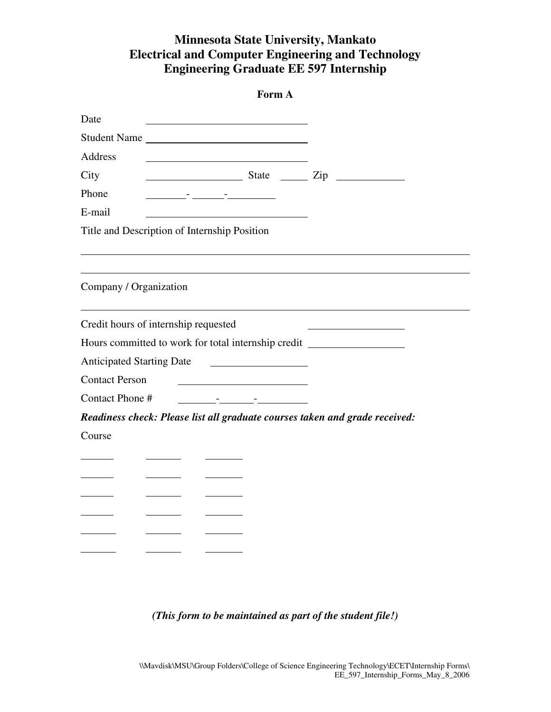| Form A                                                                                                                                                                                                                                                                                                                                                                                                                       |  |
|------------------------------------------------------------------------------------------------------------------------------------------------------------------------------------------------------------------------------------------------------------------------------------------------------------------------------------------------------------------------------------------------------------------------------|--|
| Date                                                                                                                                                                                                                                                                                                                                                                                                                         |  |
| Student Name                                                                                                                                                                                                                                                                                                                                                                                                                 |  |
| Address                                                                                                                                                                                                                                                                                                                                                                                                                      |  |
| City<br>$\frac{1}{\sqrt{1-\frac{1}{2}}\sqrt{1-\frac{1}{2}}\sqrt{1-\frac{1}{2}}\sqrt{1-\frac{1}{2}}\sqrt{1-\frac{1}{2}}\sqrt{1-\frac{1}{2}}\sqrt{1-\frac{1}{2}}\sqrt{1-\frac{1}{2}}\sqrt{1-\frac{1}{2}}\sqrt{1-\frac{1}{2}}\sqrt{1-\frac{1}{2}}\sqrt{1-\frac{1}{2}}\sqrt{1-\frac{1}{2}}\sqrt{1-\frac{1}{2}}\sqrt{1-\frac{1}{2}}\sqrt{1-\frac{1}{2}}\sqrt{1-\frac{1}{2}}\sqrt{1-\frac{1}{2}}\sqrt{1-\frac{1}{2}}\sqrt{1-\frac$ |  |
| Phone<br><u> 1989 - Jan Barnett, film amerikansk politiker (d. 1989)</u>                                                                                                                                                                                                                                                                                                                                                     |  |
| E-mail                                                                                                                                                                                                                                                                                                                                                                                                                       |  |
| Title and Description of Internship Position                                                                                                                                                                                                                                                                                                                                                                                 |  |
|                                                                                                                                                                                                                                                                                                                                                                                                                              |  |
| Company / Organization                                                                                                                                                                                                                                                                                                                                                                                                       |  |
| Credit hours of internship requested                                                                                                                                                                                                                                                                                                                                                                                         |  |
| Hours committed to work for total internship credit ____________________________                                                                                                                                                                                                                                                                                                                                             |  |
| <b>Anticipated Starting Date</b>                                                                                                                                                                                                                                                                                                                                                                                             |  |
| <b>Contact Person</b>                                                                                                                                                                                                                                                                                                                                                                                                        |  |
| Contact Phone #<br><u> 1999 - Johann John Harry Harry Harry Harry Harry Harry Harry Harry Harry Harry Harry Harry Harry Harry Harry H</u>                                                                                                                                                                                                                                                                                    |  |
| Readiness check: Please list all graduate courses taken and grade received:                                                                                                                                                                                                                                                                                                                                                  |  |
| Course                                                                                                                                                                                                                                                                                                                                                                                                                       |  |
|                                                                                                                                                                                                                                                                                                                                                                                                                              |  |
|                                                                                                                                                                                                                                                                                                                                                                                                                              |  |
|                                                                                                                                                                                                                                                                                                                                                                                                                              |  |
|                                                                                                                                                                                                                                                                                                                                                                                                                              |  |
|                                                                                                                                                                                                                                                                                                                                                                                                                              |  |
|                                                                                                                                                                                                                                                                                                                                                                                                                              |  |
|                                                                                                                                                                                                                                                                                                                                                                                                                              |  |

### *(This form to be maintained as part of the student file!)*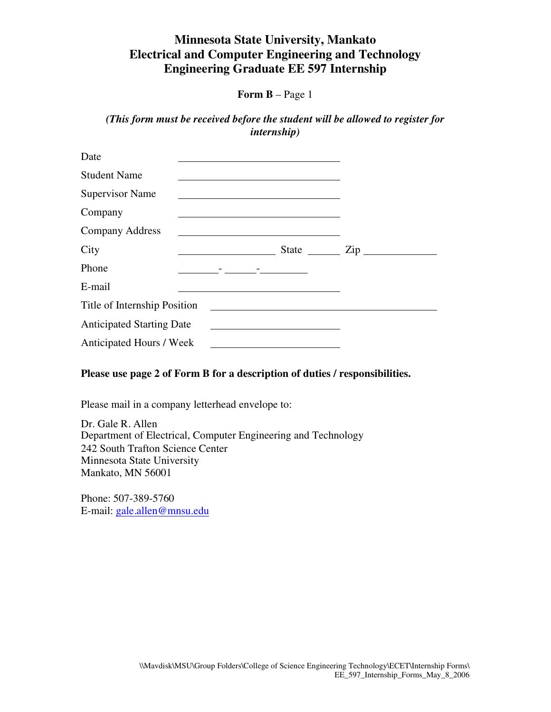**Form B** – Page 1

*(This form must be received before the student will be allowed to register for internship)* 

| Date                             |                                                                                                                       |                  |  |
|----------------------------------|-----------------------------------------------------------------------------------------------------------------------|------------------|--|
| <b>Student Name</b>              |                                                                                                                       |                  |  |
| <b>Supervisor Name</b>           |                                                                                                                       |                  |  |
| Company                          |                                                                                                                       |                  |  |
| <b>Company Address</b>           | the control of the control of the control of the control of the control of the control of                             |                  |  |
| City                             |                                                                                                                       | State <u>Cip</u> |  |
| Phone                            | the contract of the contract of the contract of the                                                                   |                  |  |
| E-mail                           |                                                                                                                       |                  |  |
| Title of Internship Position     |                                                                                                                       |                  |  |
| <b>Anticipated Starting Date</b> | <u> 1989 - John Stein, mars and de Branch and de Branch and de Branch and de Branch and de Branch and de Branch a</u> |                  |  |
| Anticipated Hours / Week         |                                                                                                                       |                  |  |

#### **Please use page 2 of Form B for a description of duties / responsibilities.**

Please mail in a company letterhead envelope to:

Dr. Gale R. Allen Department of Electrical, Computer Engineering and Technology 242 South Trafton Science Center Minnesota State University Mankato, MN 56001

Phone: 507-389-5760 E-mail: gale.allen@mnsu.edu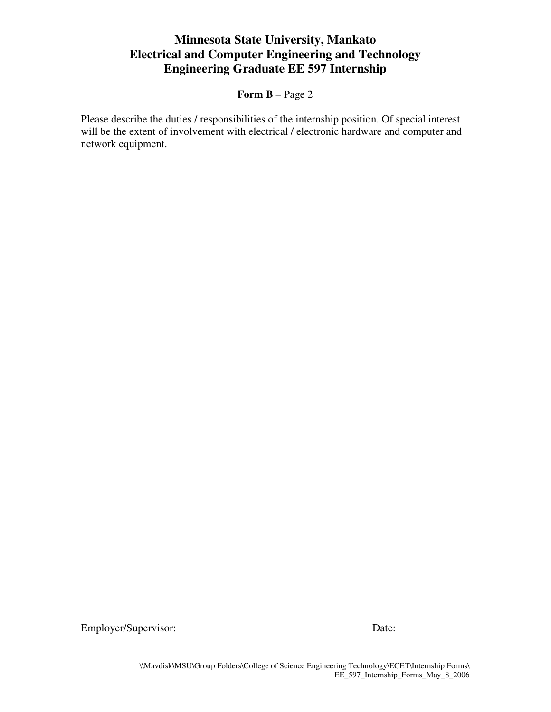### **Form B** – Page 2

Please describe the duties / responsibilities of the internship position. Of special interest will be the extent of involvement with electrical / electronic hardware and computer and network equipment.

Employer/Supervisor: Date:

\\Mavdisk\MSU\Group Folders\College of Science Engineering Technology\ECET\Internship Forms\ EE\_597\_Internship\_Forms\_May\_8\_2006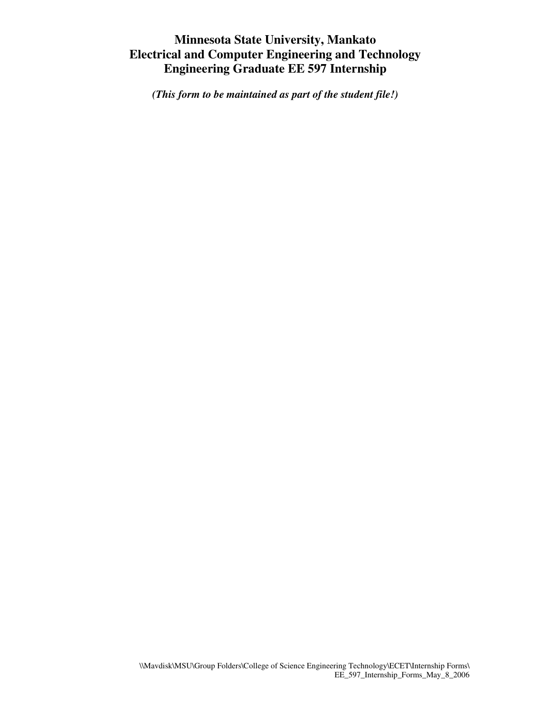*(This form to be maintained as part of the student file!)*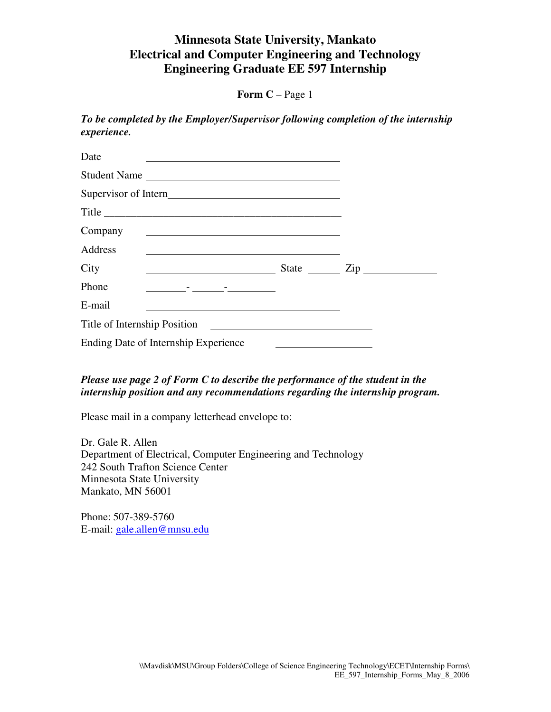**Form C** – Page 1

*To be completed by the Employer/Supervisor following completion of the internship experience.* 

| Date<br>the control of the control of the control of the control of the control of the control of the control of the control of the control of the control of the control of the control of the control of the control of the control |                  |
|---------------------------------------------------------------------------------------------------------------------------------------------------------------------------------------------------------------------------------------|------------------|
| Student Name                                                                                                                                                                                                                          |                  |
|                                                                                                                                                                                                                                       |                  |
| Title                                                                                                                                                                                                                                 |                  |
| Company<br><u> 1989 - Johann Barnett, fransk politiker (d. 1989)</u>                                                                                                                                                                  |                  |
| Address                                                                                                                                                                                                                               |                  |
| City<br><u> 1980 - Andrea Albert III, politik eta politik eta politik eta politik eta politik eta politik eta politik e</u>                                                                                                           | State <u>Cip</u> |
| Phone<br><u> 1989 - Andrea Station Books, amerikansk politiker (d. 1989)</u>                                                                                                                                                          |                  |
| E-mail                                                                                                                                                                                                                                |                  |
|                                                                                                                                                                                                                                       |                  |
| Ending Date of Internship Experience                                                                                                                                                                                                  |                  |

### *Please use page 2 of Form C to describe the performance of the student in the internship position and any recommendations regarding the internship program.*

Please mail in a company letterhead envelope to:

Dr. Gale R. Allen Department of Electrical, Computer Engineering and Technology 242 South Trafton Science Center Minnesota State University Mankato, MN 56001

Phone: 507-389-5760 E-mail: gale.allen@mnsu.edu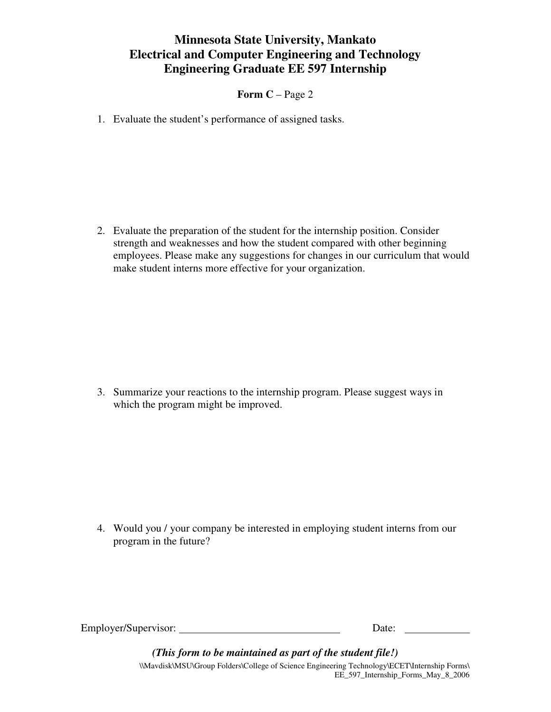**Form C** – Page 2

1. Evaluate the student's performance of assigned tasks.

2. Evaluate the preparation of the student for the internship position. Consider strength and weaknesses and how the student compared with other beginning employees. Please make any suggestions for changes in our curriculum that would make student interns more effective for your organization.

3. Summarize your reactions to the internship program. Please suggest ways in which the program might be improved.

4. Would you / your company be interested in employing student interns from our program in the future?

Employer/Supervisor: Date:

\\Mavdisk\MSU\Group Folders\College of Science Engineering Technology\ECET\Internship Forms\ EE\_597\_Internship\_Forms\_May\_8\_2006 *(This form to be maintained as part of the student file!)*